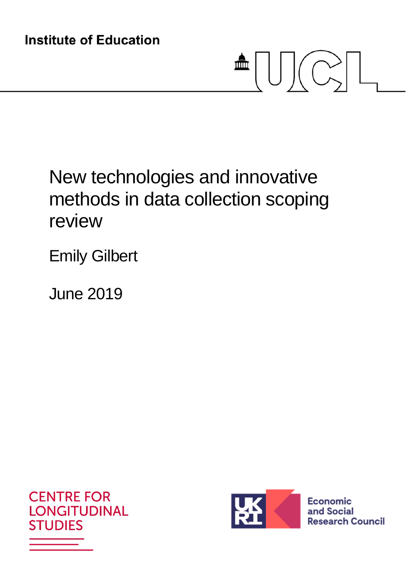# $\triangleq \bigcup \bigcup \bigcap \bigcap$

# New technologies and innovative methods in data collection scoping review

Emily Gilbert

June 2019





Economic and Social **Research Council**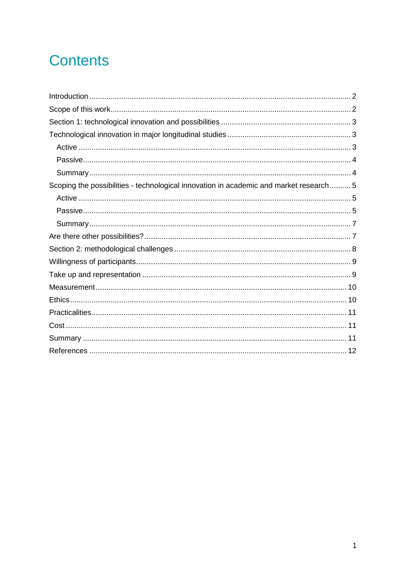# **Contents**

| Scoping the possibilities - technological innovation in academic and market research 5 |  |
|----------------------------------------------------------------------------------------|--|
|                                                                                        |  |
|                                                                                        |  |
|                                                                                        |  |
|                                                                                        |  |
|                                                                                        |  |
|                                                                                        |  |
|                                                                                        |  |
|                                                                                        |  |
|                                                                                        |  |
|                                                                                        |  |
|                                                                                        |  |
|                                                                                        |  |
|                                                                                        |  |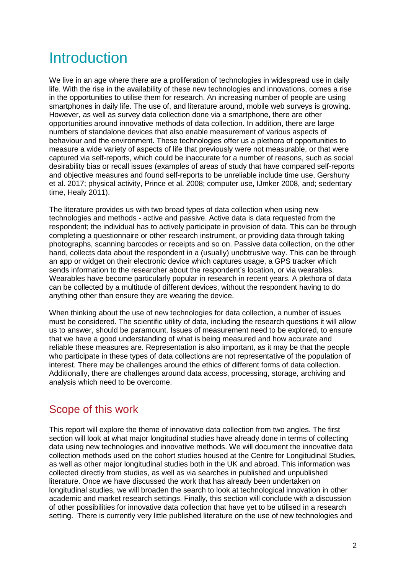# **Introduction**

We live in an age where there are a proliferation of technologies in widespread use in daily life. With the rise in the availability of these new technologies and innovations, comes a rise in the opportunities to utilise them for research. An increasing number of people are using smartphones in daily life. The use of, and literature around, mobile web surveys is growing. However, as well as survey data collection done via a smartphone, there are other opportunities around innovative methods of data collection. In addition, there are large numbers of standalone devices that also enable measurement of various aspects of behaviour and the environment. These technologies offer us a plethora of opportunities to measure a wide variety of aspects of life that previously were not measurable, or that were captured via self-reports, which could be inaccurate for a number of reasons, such as social desirability bias or recall issues (examples of areas of study that have compared self-reports and objective measures and found self-reports to be unreliable include time use, Gershuny et al. 2017; physical activity, Prince et al. 2008; computer use, IJmker 2008, and; sedentary time, Healy 2011).

The literature provides us with two broad types of data collection when using new technologies and methods - active and passive. Active data is data requested from the respondent; the individual has to actively participate in provision of data. This can be through completing a questionnaire or other research instrument, or providing data through taking photographs, scanning barcodes or receipts and so on. Passive data collection, on the other hand, collects data about the respondent in a (usually) unobtrusive way. This can be through an app or widget on their electronic device which captures usage, a GPS tracker which sends information to the researcher about the respondent's location, or via wearables. Wearables have become particularly popular in research in recent years. A plethora of data can be collected by a multitude of different devices, without the respondent having to do anything other than ensure they are wearing the device.

When thinking about the use of new technologies for data collection, a number of issues must be considered. The scientific utility of data, including the research questions it will allow us to answer, should be paramount. Issues of measurement need to be explored, to ensure that we have a good understanding of what is being measured and how accurate and reliable these measures are. Representation is also important, as it may be that the people who participate in these types of data collections are not representative of the population of interest. There may be challenges around the ethics of different forms of data collection. Additionally, there are challenges around data access, processing, storage, archiving and analysis which need to be overcome.

## Scope of this work

This report will explore the theme of innovative data collection from two angles. The first section will look at what major longitudinal studies have already done in terms of collecting data using new technologies and innovative methods. We will document the innovative data collection methods used on the cohort studies housed at the Centre for Longitudinal Studies, as well as other major longitudinal studies both in the UK and abroad. This information was collected directly from studies, as well as via searches in published and unpublished literature. Once we have discussed the work that has already been undertaken on longitudinal studies, we will broaden the search to look at technological innovation in other academic and market research settings. Finally, this section will conclude with a discussion of other possibilities for innovative data collection that have yet to be utilised in a research setting. There is currently very little published literature on the use of new technologies and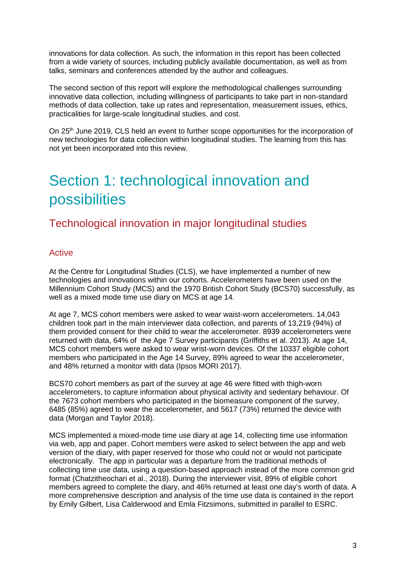innovations for data collection. As such, the information in this report has been collected from a wide variety of sources, including publicly available documentation, as well as from talks, seminars and conferences attended by the author and colleagues.

The second section of this report will explore the methodological challenges surrounding innovative data collection, including willingness of participants to take part in non-standard methods of data collection, take up rates and representation, measurement issues, ethics, practicalities for large-scale longitudinal studies, and cost.

On 25<sup>th</sup> June 2019, CLS held an event to further scope opportunities for the incorporation of new technologies for data collection within longitudinal studies. The learning from this has not yet been incorporated into this review.

# Section 1: technological innovation and possibilities

## Technological innovation in major longitudinal studies

#### **Active**

At the Centre for Longitudinal Studies (CLS), we have implemented a number of new technologies and innovations within our cohorts. Accelerometers have been used on the Millennium Cohort Study (MCS) and the 1970 British Cohort Study (BCS70) successfully, as well as a mixed mode time use diary on MCS at age 14.

At age 7, MCS cohort members were asked to wear waist-worn accelerometers. 14,043 children took part in the main interviewer data collection, and parents of 13,219 (94%) of them provided consent for their child to wear the accelerometer. 8939 accelerometers were returned with data, 64% of the Age 7 Survey participants (Griffiths et al. 2013). At age 14, MCS cohort members were asked to wear wrist-worn devices. Of the 10337 eligible cohort members who participated in the Age 14 Survey, 89% agreed to wear the accelerometer, and 48% returned a monitor with data (Ipsos MORI 2017).

BCS70 cohort members as part of the survey at age 46 were fitted with thigh-worn accelerometers, to capture information about physical activity and sedentary behaviour. Of the 7673 cohort members who participated in the biomeasure component of the survey, 6485 (85%) agreed to wear the accelerometer, and 5617 (73%) returned the device with data (Morgan and Taylor 2018).

MCS implemented a mixed-mode time use diary at age 14, collecting time use information via web, app and paper. Cohort members were asked to select between the app and web version of the diary, with paper reserved for those who could not or would not participate electronically. The app in particular was a departure from the traditional methods of collecting time use data, using a question-based approach instead of the more common grid format (Chatzitheochari et al., 2018). During the interviewer visit, 89% of eligible cohort members agreed to complete the diary, and 46% returned at least one day's worth of data. A more comprehensive description and analysis of the time use data is contained in the report by Emily Gilbert, Lisa Calderwood and Emla Fitzsimons, submitted in parallel to ESRC.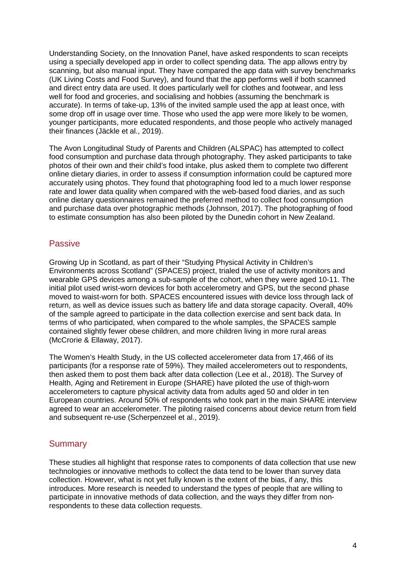Understanding Society, on the Innovation Panel, have asked respondents to scan receipts using a specially developed app in order to collect spending data. The app allows entry by scanning, but also manual input. They have compared the app data with survey benchmarks (UK Living Costs and Food Survey), and found that the app performs well if both scanned and direct entry data are used. It does particularly well for clothes and footwear, and less well for food and groceries, and socialising and hobbies (assuming the benchmark is accurate). In terms of take-up, 13% of the invited sample used the app at least once, with some drop off in usage over time. Those who used the app were more likely to be women, younger participants, more educated respondents, and those people who actively managed their finances (Jäckle et al., 2019).

The Avon Longitudinal Study of Parents and Children (ALSPAC) has attempted to collect food consumption and purchase data through photography. They asked participants to take photos of their own and their child's food intake, plus asked them to complete two different online dietary diaries, in order to assess if consumption information could be captured more accurately using photos. They found that photographing food led to a much lower response rate and lower data quality when compared with the web-based food diaries, and as such online dietary questionnaires remained the preferred method to collect food consumption and purchase data over photographic methods (Johnson, 2017). The photographing of food to estimate consumption has also been piloted by the Dunedin cohort in New Zealand.

#### Passive

Growing Up in Scotland, as part of their "Studying Physical Activity in Children's Environments across Scotland" (SPACES) project, trialed the use of activity monitors and wearable GPS devices among a sub-sample of the cohort, when they were aged 10-11. The initial pilot used wrist-worn devices for both accelerometry and GPS, but the second phase moved to waist-worn for both. SPACES encountered issues with device loss through lack of return, as well as device issues such as battery life and data storage capacity. Overall, 40% of the sample agreed to participate in the data collection exercise and sent back data. In terms of who participated, when compared to the whole samples, the SPACES sample contained slightly fewer obese children, and more children living in more rural areas (McCrorie & Ellaway, 2017).

The Women's Health Study, in the US collected accelerometer data from 17,466 of its participants (for a response rate of 59%). They mailed accelerometers out to respondents, then asked them to post them back after data collection (Lee et al., 2018). The Survey of Health, Aging and Retirement in Europe (SHARE) have piloted the use of thigh-worn accelerometers to capture physical activity data from adults aged 50 and older in ten European countries. Around 50% of respondents who took part in the main SHARE interview agreed to wear an accelerometer. The piloting raised concerns about device return from field and subsequent re-use (Scherpenzeel et al., 2019).

#### **Summary**

These studies all highlight that response rates to components of data collection that use new technologies or innovative methods to collect the data tend to be lower than survey data collection. However, what is not yet fully known is the extent of the bias, if any, this introduces. More research is needed to understand the types of people that are willing to participate in innovative methods of data collection, and the ways they differ from nonrespondents to these data collection requests.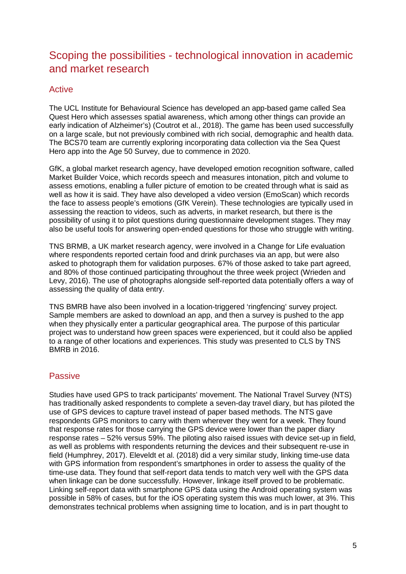## Scoping the possibilities - technological innovation in academic and market research

#### Active

The UCL Institute for Behavioural Science has developed an app-based game called Sea Quest Hero which assesses spatial awareness, which among other things can provide an early indication of Alzheimer's) (Coutrot et al., 2018). The game has been used successfully on a large scale, but not previously combined with rich social, demographic and health data. The BCS70 team are currently exploring incorporating data collection via the Sea Quest Hero app into the Age 50 Survey, due to commence in 2020.

GfK, a global market research agency, have developed emotion recognition software, called Market Builder Voice, which records speech and measures intonation, pitch and volume to assess emotions, enabling a fuller picture of emotion to be created through what is said as well as how it is said. They have also developed a video version (EmoScan) which records the face to assess people's emotions (GfK Verein). These technologies are typically used in assessing the reaction to videos, such as adverts, in market research, but there is the possibility of using it to pilot questions during questionnaire development stages. They may also be useful tools for answering open-ended questions for those who struggle with writing.

TNS BRMB, a UK market research agency, were involved in a Change for Life evaluation where respondents reported certain food and drink purchases via an app, but were also asked to photograph them for validation purposes. 67% of those asked to take part agreed, and 80% of those continued participating throughout the three week project (Wrieden and Levy, 2016). The use of photographs alongside self-reported data potentially offers a way of assessing the quality of data entry.

TNS BMRB have also been involved in a location-triggered 'ringfencing' survey project. Sample members are asked to download an app, and then a survey is pushed to the app when they physically enter a particular geographical area. The purpose of this particular project was to understand how green spaces were experienced, but it could also be applied to a range of other locations and experiences. This study was presented to CLS by TNS BMRB in 2016.

#### Passive

Studies have used GPS to track participants' movement. The National Travel Survey (NTS) has traditionally asked respondents to complete a seven-day travel diary, but has piloted the use of GPS devices to capture travel instead of paper based methods. The NTS gave respondents GPS monitors to carry with them wherever they went for a week. They found that response rates for those carrying the GPS device were lower than the paper diary response rates – 52% versus 59%. The piloting also raised issues with device set-up in field, as well as problems with respondents returning the devices and their subsequent re-use in field (Humphrey, 2017). Eleveldt et al. (2018) did a very similar study, linking time-use data with GPS information from respondent's smartphones in order to assess the quality of the time-use data. They found that self-report data tends to match very well with the GPS data when linkage can be done successfully. However, linkage itself proved to be problematic. Linking self-report data with smartphone GPS data using the Android operating system was possible in 58% of cases, but for the iOS operating system this was much lower, at 3%. This demonstrates technical problems when assigning time to location, and is in part thought to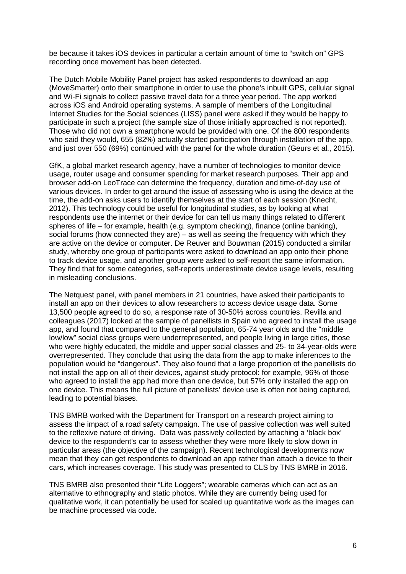be because it takes iOS devices in particular a certain amount of time to "switch on" GPS recording once movement has been detected.

The Dutch Mobile Mobility Panel project has asked respondents to download an app (MoveSmarter) onto their smartphone in order to use the phone's inbuilt GPS, cellular signal and Wi-Fi signals to collect passive travel data for a three year period. The app worked across iOS and Android operating systems. A sample of members of the Longitudinal Internet Studies for the Social sciences (LISS) panel were asked if they would be happy to participate in such a project (the sample size of those initially approached is not reported). Those who did not own a smartphone would be provided with one. Of the 800 respondents who said they would, 655 (82%) actually started participation through installation of the app, and just over 550 (69%) continued with the panel for the whole duration (Geurs et al., 2015).

GfK, a global market research agency, have a number of technologies to monitor device usage, router usage and consumer spending for market research purposes. Their app and browser add-on LeoTrace can determine the frequency, duration and time-of-day use of various devices. In order to get around the issue of assessing who is using the device at the time, the add-on asks users to identify themselves at the start of each session (Knecht, 2012). This technology could be useful for longitudinal studies, as by looking at what respondents use the internet or their device for can tell us many things related to different spheres of life – for example, health (e.g. symptom checking), finance (online banking), social forums (how connected they are) – as well as seeing the frequency with which they are active on the device or computer. De Reuver and Bouwman (2015) conducted a similar study, whereby one group of participants were asked to download an app onto their phone to track device usage, and another group were asked to self-report the same information. They find that for some categories, self-reports underestimate device usage levels, resulting in misleading conclusions.

The Netquest panel, with panel members in 21 countries, have asked their participants to install an app on their devices to allow researchers to access device usage data. Some 13,500 people agreed to do so, a response rate of 30-50% across countries. Revilla and colleagues (2017) looked at the sample of panellists in Spain who agreed to install the usage app, and found that compared to the general population, 65-74 year olds and the "middle low/low" social class groups were underrepresented, and people living in large cities, those who were highly educated, the middle and upper social classes and 25- to 34-year-olds were overrepresented. They conclude that using the data from the app to make inferences to the population would be "dangerous". They also found that a large proportion of the panellists do not install the app on all of their devices, against study protocol: for example, 96% of those who agreed to install the app had more than one device, but 57% only installed the app on one device. This means the full picture of panellists' device use is often not being captured, leading to potential biases.

TNS BMRB worked with the Department for Transport on a research project aiming to assess the impact of a road safety campaign. The use of passive collection was well suited to the reflexive nature of driving. Data was passively collected by attaching a 'black box' device to the respondent's car to assess whether they were more likely to slow down in particular areas (the objective of the campaign). Recent technological developments now mean that they can get respondents to download an app rather than attach a device to their cars, which increases coverage. This study was presented to CLS by TNS BMRB in 2016.

TNS BMRB also presented their "Life Loggers"; wearable cameras which can act as an alternative to ethnography and static photos. While they are currently being used for qualitative work, it can potentially be used for scaled up quantitative work as the images can be machine processed via code.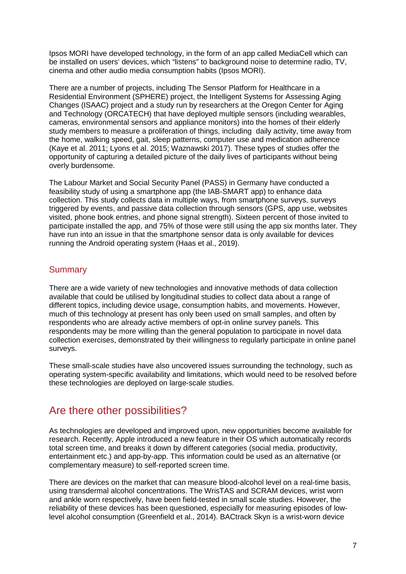Ipsos MORI have developed technology, in the form of an app called MediaCell which can be installed on users' devices, which "listens" to background noise to determine radio, TV, cinema and other audio media consumption habits (Ipsos MORI).

There are a number of projects, including The Sensor Platform for Healthcare in a Residential Environment (SPHERE) project, the Intelligent Systems for Assessing Aging Changes (ISAAC) project and a study run by researchers at the Oregon Center for Aging and Technology (ORCATECH) that have deployed multiple sensors (including wearables, cameras, environmental sensors and appliance monitors) into the homes of their elderly study members to measure a proliferation of things, including daily activity, time away from the home, walking speed, gait, sleep patterns, computer use and medication adherence (Kaye et al. 2011; Lyons et al. 2015; Waznawski 2017). These types of studies offer the opportunity of capturing a detailed picture of the daily lives of participants without being overly burdensome.

The Labour Market and Social Security Panel (PASS) in Germany have conducted a feasibility study of using a smartphone app (the IAB-SMART app) to enhance data collection. This study collects data in multiple ways, from smartphone surveys, surveys triggered by events, and passive data collection through sensors (GPS, app use, websites visited, phone book entries, and phone signal strength). Sixteen percent of those invited to participate installed the app, and 75% of those were still using the app six months later. They have run into an issue in that the smartphone sensor data is only available for devices running the Android operating system (Haas et al., 2019).

#### **Summary**

There are a wide variety of new technologies and innovative methods of data collection available that could be utilised by longitudinal studies to collect data about a range of different topics, including device usage, consumption habits, and movements. However, much of this technology at present has only been used on small samples, and often by respondents who are already active members of opt-in online survey panels. This respondents may be more willing than the general population to participate in novel data collection exercises, demonstrated by their willingness to regularly participate in online panel surveys.

These small-scale studies have also uncovered issues surrounding the technology, such as operating system-specific availability and limitations, which would need to be resolved before these technologies are deployed on large-scale studies.

## Are there other possibilities?

As technologies are developed and improved upon, new opportunities become available for research. Recently, Apple introduced a new feature in their OS which automatically records total screen time, and breaks it down by different categories (social media, productivity, entertainment etc.) and app-by-app. This information could be used as an alternative (or complementary measure) to self-reported screen time.

There are devices on the market that can measure blood-alcohol level on a real-time basis, using transdermal alcohol concentrations. The WrisTAS and SCRAM devices, wrist worn and ankle worn respectively, have been field-tested in small scale studies. However, the reliability of these devices has been questioned, especially for measuring episodes of lowlevel alcohol consumption (Greenfield et al., 2014). BACtrack Skyn is a wrist-worn device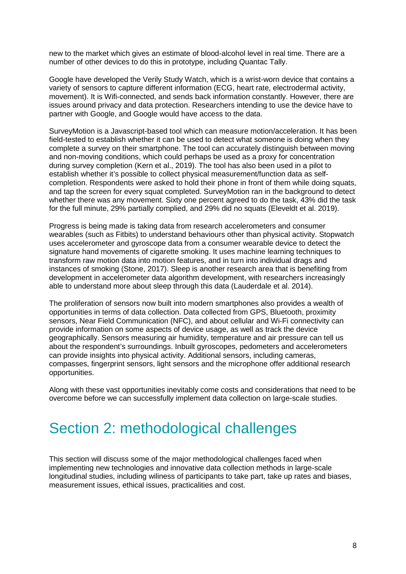new to the market which gives an estimate of blood-alcohol level in real time. There are a number of other devices to do this in prototype, including Quantac Tally.

Google have developed the Verily Study Watch, which is a wrist-worn device that contains a variety of sensors to capture different information (ECG, heart rate, electrodermal activity, movement). It is Wifi-connected, and sends back information constantly. However, there are issues around privacy and data protection. Researchers intending to use the device have to partner with Google, and Google would have access to the data.

SurveyMotion is a Javascript-based tool which can measure motion/acceleration. It has been field-tested to establish whether it can be used to detect what someone is doing when they complete a survey on their smartphone. The tool can accurately distinguish between moving and non-moving conditions, which could perhaps be used as a proxy for concentration during survey completion (Kern et al., 2019). The tool has also been used in a pilot to establish whether it's possible to collect physical measurement/function data as selfcompletion. Respondents were asked to hold their phone in front of them while doing squats, and tap the screen for every squat completed. SurveyMotion ran in the background to detect whether there was any movement. Sixty one percent agreed to do the task, 43% did the task for the full minute, 29% partially complied, and 29% did no squats (Eleveldt et al. 2019).

Progress is being made is taking data from research accelerometers and consumer wearables (such as Fitbits) to understand behaviours other than physical activity. Stopwatch uses accelerometer and gyroscope data from a consumer wearable device to detect the signature hand movements of cigarette smoking. It uses machine learning techniques to transform raw motion data into motion features, and in turn into individual drags and instances of smoking (Stone, 2017). Sleep is another research area that is benefiting from development in accelerometer data algorithm development, with researchers increasingly able to understand more about sleep through this data (Lauderdale et al. 2014).

The proliferation of sensors now built into modern smartphones also provides a wealth of opportunities in terms of data collection. Data collected from GPS, Bluetooth, proximity sensors, Near Field Communication (NFC), and about cellular and Wi-Fi connectivity can provide information on some aspects of device usage, as well as track the device geographically. Sensors measuring air humidity, temperature and air pressure can tell us about the respondent's surroundings. Inbuilt gyroscopes, pedometers and accelerometers can provide insights into physical activity. Additional sensors, including cameras, compasses, fingerprint sensors, light sensors and the microphone offer additional research opportunities.

Along with these vast opportunities inevitably come costs and considerations that need to be overcome before we can successfully implement data collection on large-scale studies.

# Section 2: methodological challenges

This section will discuss some of the major methodological challenges faced when implementing new technologies and innovative data collection methods in large-scale longitudinal studies, including wiliness of participants to take part, take up rates and biases, measurement issues, ethical issues, practicalities and cost.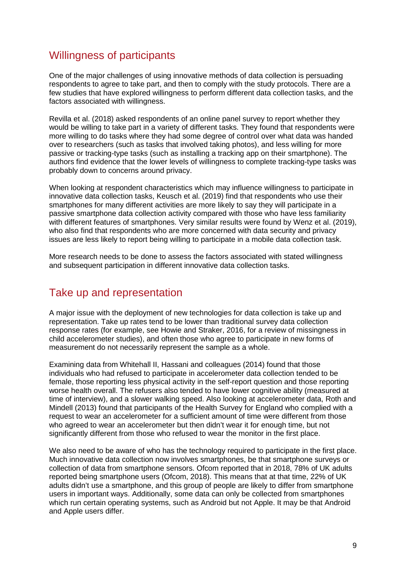## Willingness of participants

One of the major challenges of using innovative methods of data collection is persuading respondents to agree to take part, and then to comply with the study protocols. There are a few studies that have explored willingness to perform different data collection tasks, and the factors associated with willingness.

Revilla et al. (2018) asked respondents of an online panel survey to report whether they would be willing to take part in a variety of different tasks. They found that respondents were more willing to do tasks where they had some degree of control over what data was handed over to researchers (such as tasks that involved taking photos), and less willing for more passive or tracking-type tasks (such as installing a tracking app on their smartphone). The authors find evidence that the lower levels of willingness to complete tracking-type tasks was probably down to concerns around privacy.

When looking at respondent characteristics which may influence willingness to participate in innovative data collection tasks, Keusch et al. (2019) find that respondents who use their smartphones for many different activities are more likely to say they will participate in a passive smartphone data collection activity compared with those who have less familiarity with different features of smartphones. Very similar results were found by Wenz et al. (2019), who also find that respondents who are more concerned with data security and privacy issues are less likely to report being willing to participate in a mobile data collection task.

More research needs to be done to assess the factors associated with stated willingness and subsequent participation in different innovative data collection tasks.

## Take up and representation

A major issue with the deployment of new technologies for data collection is take up and representation. Take up rates tend to be lower than traditional survey data collection response rates (for example, see Howie and Straker, 2016, for a review of missingness in child accelerometer studies), and often those who agree to participate in new forms of measurement do not necessarily represent the sample as a whole.

Examining data from Whitehall II, Hassani and colleagues (2014) found that those individuals who had refused to participate in accelerometer data collection tended to be female, those reporting less physical activity in the self-report question and those reporting worse health overall. The refusers also tended to have lower cognitive ability (measured at time of interview), and a slower walking speed. Also looking at accelerometer data, Roth and Mindell (2013) found that participants of the Health Survey for England who complied with a request to wear an accelerometer for a sufficient amount of time were different from those who agreed to wear an accelerometer but then didn't wear it for enough time, but not significantly different from those who refused to wear the monitor in the first place.

We also need to be aware of who has the technology required to participate in the first place. Much innovative data collection now involves smartphones, be that smartphone surveys or collection of data from smartphone sensors. Ofcom reported that in 2018, 78% of UK adults reported being smartphone users (Ofcom, 2018). This means that at that time, 22% of UK adults didn't use a smartphone, and this group of people are likely to differ from smartphone users in important ways. Additionally, some data can only be collected from smartphones which run certain operating systems, such as Android but not Apple. It may be that Android and Apple users differ.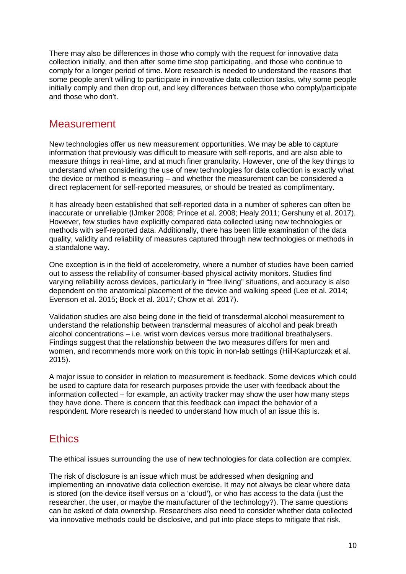There may also be differences in those who comply with the request for innovative data collection initially, and then after some time stop participating, and those who continue to comply for a longer period of time. More research is needed to understand the reasons that some people aren't willing to participate in innovative data collection tasks, why some people initially comply and then drop out, and key differences between those who comply/participate and those who don't.

### **Measurement**

New technologies offer us new measurement opportunities. We may be able to capture information that previously was difficult to measure with self-reports, and are also able to measure things in real-time, and at much finer granularity. However, one of the key things to understand when considering the use of new technologies for data collection is exactly what the device or method is measuring – and whether the measurement can be considered a direct replacement for self-reported measures, or should be treated as complimentary.

It has already been established that self-reported data in a number of spheres can often be inaccurate or unreliable (IJmker 2008; Prince et al. 2008; Healy 2011; Gershuny et al. 2017). However, few studies have explicitly compared data collected using new technologies or methods with self-reported data. Additionally, there has been little examination of the data quality, validity and reliability of measures captured through new technologies or methods in a standalone way.

One exception is in the field of accelerometry, where a number of studies have been carried out to assess the reliability of consumer-based physical activity monitors. Studies find varying reliability across devices, particularly in "free living" situations, and accuracy is also dependent on the anatomical placement of the device and walking speed (Lee et al. 2014; Evenson et al. 2015; Bock et al. 2017; Chow et al. 2017).

Validation studies are also being done in the field of transdermal alcohol measurement to understand the relationship between transdermal measures of alcohol and peak breath alcohol concentrations – i.e. wrist worn devices versus more traditional breathalysers. Findings suggest that the relationship between the two measures differs for men and women, and recommends more work on this topic in non-lab settings (Hill-Kapturczak et al. 2015).

A major issue to consider in relation to measurement is feedback. Some devices which could be used to capture data for research purposes provide the user with feedback about the information collected – for example, an activity tracker may show the user how many steps they have done. There is concern that this feedback can impact the behavior of a respondent. More research is needed to understand how much of an issue this is.

# **Ethics**

The ethical issues surrounding the use of new technologies for data collection are complex.

The risk of disclosure is an issue which must be addressed when designing and implementing an innovative data collection exercise. It may not always be clear where data is stored (on the device itself versus on a 'cloud'), or who has access to the data (just the researcher, the user, or maybe the manufacturer of the technology?). The same questions can be asked of data ownership. Researchers also need to consider whether data collected via innovative methods could be disclosive, and put into place steps to mitigate that risk.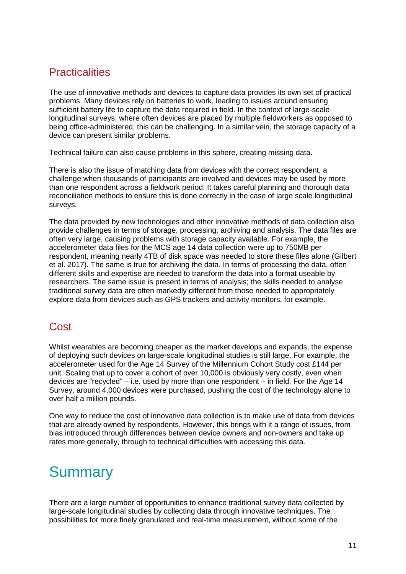# **Practicalities**

The use of innovative methods and devices to capture data provides its own set of practical problems. Many devices rely on batteries to work, leading to issues around ensuring sufficient battery life to capture the data required in field. In the context of large-scale longitudinal surveys, where often devices are placed by multiple fieldworkers as opposed to being office-administered, this can be challenging. In a similar vein, the storage capacity of a device can present similar problems.

Technical failure can also cause problems in this sphere, creating missing data.

There is also the issue of matching data from devices with the correct respondent, a challenge when thousands of participants are involved and devices may be used by more than one respondent across a fieldwork period. It takes careful planning and thorough data reconciliation methods to ensure this is done correctly in the case of large scale longitudinal surveys.

The data provided by new technologies and other innovative methods of data collection also provide challenges in terms of storage, processing, archiving and analysis. The data files are often very large, causing problems with storage capacity available. For example, the accelerometer data files for the MCS age 14 data collection were up to 750MB per respondent, meaning nearly 4TB of disk space was needed to store these files alone (Gilbert et al. 2017). The same is true for archiving the data. In terms of processing the data, often different skills and expertise are needed to transform the data into a format useable by researchers. The same issue is present in terms of analysis; the skills needed to analyse traditional survey data are often markedly different from those needed to appropriately explore data from devices such as GPS trackers and activity monitors, for example.

# **Cost**

Whilst wearables are becoming cheaper as the market develops and expands, the expense of deploying such devices on large-scale longitudinal studies is still large. For example, the accelerometer used for the Age 14 Survey of the Millennium Cohort Study cost £144 per unit. Scaling that up to cover a cohort of over 10,000 is obviously very costly, even when devices are "recycled" – i.e. used by more than one respondent – in field. For the Age 14 Survey, around 4,000 devices were purchased, pushing the cost of the technology alone to over half a million pounds.

One way to reduce the cost of innovative data collection is to make use of data from devices that are already owned by respondents. However, this brings with it a range of issues, from bias introduced through differences between device owners and non-owners and take up rates more generally, through to technical difficulties with accessing this data.

# **Summary**

There are a large number of opportunities to enhance traditional survey data collected by large-scale longitudinal studies by collecting data through innovative techniques. The possibilities for more finely granulated and real-time measurement, without some of the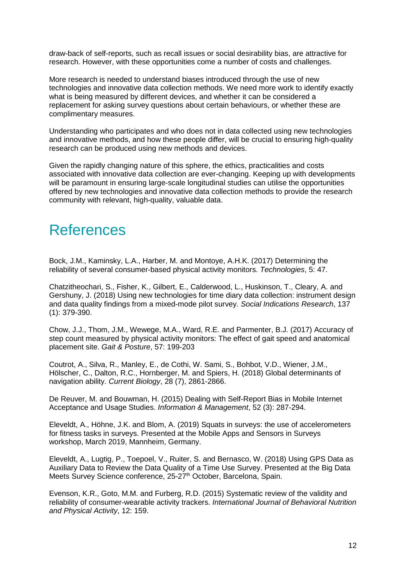draw-back of self-reports, such as recall issues or social desirability bias, are attractive for research. However, with these opportunities come a number of costs and challenges.

More research is needed to understand biases introduced through the use of new technologies and innovative data collection methods. We need more work to identify exactly what is being measured by different devices, and whether it can be considered a replacement for asking survey questions about certain behaviours, or whether these are complimentary measures.

Understanding who participates and who does not in data collected using new technologies and innovative methods, and how these people differ, will be crucial to ensuring high-quality research can be produced using new methods and devices.

Given the rapidly changing nature of this sphere, the ethics, practicalities and costs associated with innovative data collection are ever-changing. Keeping up with developments will be paramount in ensuring large-scale longitudinal studies can utilise the opportunities offered by new technologies and innovative data collection methods to provide the research community with relevant, high-quality, valuable data.

# References

Bock, J.M., Kaminsky, L.A., Harber, M. and Montoye, A.H.K. (2017) Determining the reliability of several consumer-based physical activity monitors. *Technologies*, 5: 47.

Chatzitheochari, S., Fisher, K., Gilbert, E., Calderwood, L., Huskinson, T., Cleary, A. and Gershuny, J. (2018) Using new technologies for time diary data collection: instrument design and data quality findings from a mixed-mode pilot survey. *Social Indications Research*, 137 (1): 379-390.

Chow, J.J., Thom, J.M., Wewege, M.A., Ward, R.E. and Parmenter, B.J. (2017) Accuracy of step count measured by physical activity monitors: The effect of gait speed and anatomical placement site. *Gait & Posture*, 57: 199-203

Coutrot, A., Silva, R., Manley, E., de Cothi, W. Sami, S., Bohbot, V.D., Wiener, J.M., Hölscher, C., Dalton, R.C., Hornberger, M. and Spiers, H. (2018) Global determinants of navigation ability. *Current Biology*, 28 (7), 2861-2866.

De Reuver, M. and Bouwman, H. (2015) Dealing with Self-Report Bias in Mobile Internet Acceptance and Usage Studies. *Information & Management*, 52 (3): 287-294.

Eleveldt, A., Höhne, J.K. and Blom, A. (2019) Squats in surveys: the use of accelerometers for fitness tasks in surveys. Presented at the Mobile Apps and Sensors in Surveys workshop, March 2019, Mannheim, Germany.

Eleveldt, A., Lugtig, P., Toepoel, V., Ruiter, S. and Bernasco, W. (2018) Using GPS Data as Auxiliary Data to Review the Data Quality of a Time Use Survey. Presented at the Big Data Meets Survey Science conference, 25-27<sup>th</sup> October, Barcelona, Spain.

Evenson, K.R., Goto, M.M. and Furberg, R.D. (2015) Systematic review of the validity and reliability of consumer-wearable activity trackers. *International Journal of Behavioral Nutrition and Physical Activity*, 12: 159.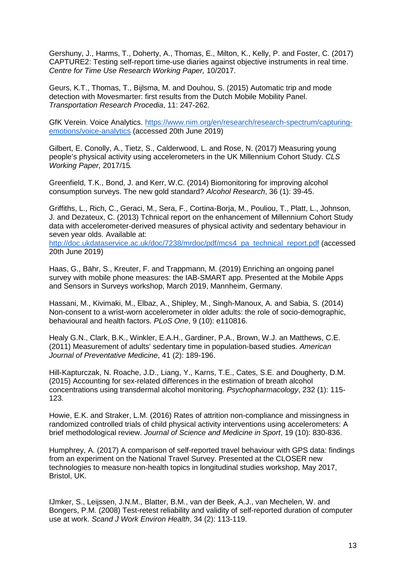Gershuny, J., Harms, T., Doherty, A., Thomas, E., Milton, K., Kelly, P. and Foster, C. (2017) CAPTURE2: Testing self-report time-use diaries against objective instruments in real time. *Centre for Time Use Research Working Paper,* 10/2017.

Geurs, K.T., Thomas, T., Bijlsma, M. and Douhou, S. (2015) Automatic trip and mode detection with Movesmarter: first results from the Dutch Mobile Mobility Panel. *Transportation Research Procedia*, 11: 247-262.

GfK Verein. Voice Analytics. https://www.nim.org/en/research/research-spectrum/capturingemotions/voice-analytics (accessed 20th June 2019)

Gilbert, E. Conolly, A., Tietz, S., Calderwood, L. and Rose, N. (2017) Measuring young people's physical activity using accelerometers in the UK Millennium Cohort Study. *CLS Working Paper,* 2017/15*.*

Greenfield, T.K., Bond, J. and Kerr, W.C. (2014) Biomonitoring for improving alcohol consumption surveys. The new gold standard? *Alcohol Research*, 36 (1): 39-45.

Griffiths, L., Rich, C., Geraci, M., Sera, F., Cortina-Borja, M., Pouliou, T., Platt, L., Johnson, J. and Dezateux, C. (2013) Tchnical report on the enhancement of Millennium Cohort Study data with accelerometer-derived measures of physical activity and sedentary behaviour in seven year olds. Available at:

http://doc.ukdataservice.ac.uk/doc/7238/mrdoc/pdf/mcs4\_pa\_technical\_report.pdf (accessed 20th June 2019)

Haas, G., Bähr, S., Kreuter, F. and Trappmann, M. (2019) Enriching an ongoing panel survey with mobile phone measures: the IAB-SMART app. Presented at the Mobile Apps and Sensors in Surveys workshop, March 2019, Mannheim, Germany.

Hassani, M., Kivimaki, M., Elbaz, A., Shipley, M., Singh-Manoux, A. and Sabia, S. (2014) Non-consent to a wrist-worn accelerometer in older adults: the role of socio-demographic, behavioural and health factors. *PLoS One*, 9 (10): e110816.

Healy G.N., Clark, B.K., Winkler, E.A.H., Gardiner, P.A., Brown, W.J. an Matthews, C.E. (2011) Measurement of adults' sedentary time in population-based studies. *American Journal of Preventative Medicine*, 41 (2): 189-196.

Hill-Kapturczak, N. Roache, J.D., Liang, Y., Karns, T.E., Cates, S.E. and Dougherty, D.M. (2015) Accounting for sex-related differences in the estimation of breath alcohol concentrations using transdermal alcohol monitoring. *Psychopharmacology*, 232 (1): 115- 123.

Howie, E.K. and Straker, L.M. (2016) Rates of attrition non-compliance and missingness in randomized controlled trials of child physical activity interventions using accelerometers: A brief methodological review. *Journal of Science and Medicine in Sport*, 19 (10): 830-836.

Humphrey, A. (2017) A comparison of self-reported travel behaviour with GPS data: findings from an experiment on the National Travel Survey. Presented at the CLOSER new technologies to measure non-health topics in longitudinal studies workshop, May 2017, Bristol, UK.

IJmker, S., Leijssen, J.N.M., Blatter, B.M., van der Beek, A.J., van Mechelen, W. and Bongers, P.M. (2008) Test-retest reliability and validity of self-reported duration of computer use at work. *Scand J Work Environ Health*, 34 (2): 113-119.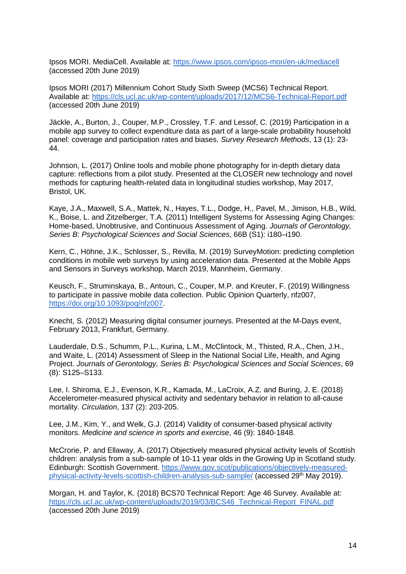Ipsos MORI. MediaCell. Available at: https://www.ipsos.com/ipsos-mori/en-uk/mediacell (accessed 20th June 2019)

Ipsos MORI (2017) Millennium Cohort Study Sixth Sweep (MCS6) Technical Report. Available at: https://cls.ucl.ac.uk/wp-content/uploads/2017/12/MCS6-Technical-Report.pdf (accessed 20th June 2019)

Jäckle, A., Burton, J., Couper, M.P., Crossley, T.F. and Lessof, C. (2019) Participation in a mobile app survey to collect expenditure data as part of a large-scale probability household panel: coverage and participation rates and biases. *Survey Research Methods*, 13 (1): 23- 44.

Johnson, L. (2017) Online tools and mobile phone photography for in-depth dietary data capture: reflections from a pilot study. Presented at the CLOSER new technology and novel methods for capturing health-related data in longitudinal studies workshop, May 2017, Bristol, UK.

Kaye, J.A., Maxwell, S.A., Mattek, N., Hayes, T.L., Dodge, H., Pavel, M., Jimison, H.B., Wild, K., Boise, L. and Zitzelberger, T.A. (2011) Intelligent Systems for Assessing Aging Changes: Home-based, Unobtrusive, and Continuous Assessment of Aging. *Journals of Gerontology, Series B: Psychological Sciences and Social Sciences*, 66B (S1): i180–i190.

Kern, C., Höhne, J.K., Schlosser, S., Revilla, M. (2019) SurveyMotion: predicting completion conditions in mobile web surveys by using acceleration data. Presented at the Mobile Apps and Sensors in Surveys workshop, March 2019, Mannheim, Germany.

Keusch, F., Struminskaya, B., Antoun, C., Couper, M.P. and Kreuter, F. (2019) Willingness to participate in passive mobile data collection. Public Opinion Quarterly, nfz007, https://doi.org/10.1093/poq/nfz007.

Knecht, S. (2012) Measuring digital consumer journeys. Presented at the M-Days event, February 2013, Frankfurt, Germany.

Lauderdale, D.S., Schumm, P.L., Kurina, L.M., McClintock, M., Thisted, R.A., Chen, J.H., and Waite, L. (2014) Assessment of Sleep in the National Social Life, Health, and Aging Project. *Journals of Gerontology, Series B: Psychological Sciences and Social Sciences*, 69 (8): S125–S133.

Lee, I. Shiroma, E.J., Evenson, K.R., Kamada, M., LaCroix, A.Z. and Buring, J. E. (2018) Accelerometer-measured physical activity and sedentary behavior in relation to all-cause mortality. *Circulation*, 137 (2): 203-205.

Lee, J.M., Kim, Y., and Welk, G.J. (2014) Validity of consumer-based physical activity monitors. *Medicine and science in sports and exercise*, 46 (9): 1840-1848.

McCrorie, P. and Ellaway, A. (2017) Objectively measured physical activity levels of Scottish children: analysis from a sub-sample of 10-11 year olds in the Growing Up in Scotland study. Edinburgh: Scottish Government. https://www.gov.scot/publications/objectively-measuredphysical-activity-levels-scottish-children-analysis-sub-sample/ (accessed 29th May 2019).

Morgan, H. and Taylor, K. (2018) BCS70 Technical Report: Age 46 Survey. Available at: https://cls.ucl.ac.uk/wp-content/uploads/2019/03/BCS46\_Technical-Report\_FINAL.pdf (accessed 20th June 2019)